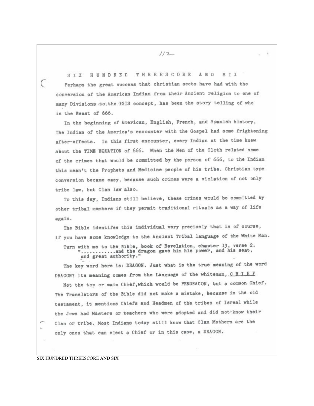HUNDRED THREESCORE A N D SIX SIX Perhaps the great success that christian sects have had with the conversion of the American Indian from their Ancient religion to one of many Divisions to the ESIS concept, has been the story telling of who is the Beast of 666.

In the beginning of American, English, French, and Spanish history. The Indian of the America's encounter with the Gospel had some frightening after-effects. In this first encounter, every Indian at the time knew about the TIME EQUATION of 666. When the Men of the Cloth related some of the crimes that would be committed by the person of 666, to the Indian this mean't the Prophets and Medicine people of his tribe. Christian type conversion became easy, because such crimes were a violation of not only tribe law, but Clan law also.

To this day, Indians still believe, these crimes would be committed by other tribal members if they permit traditional rituals as a way of life again.

The Bible identifes this individual very precisely that is of course, if you have some knowledge to the Ancient Tribal language of the White Man. Turn with me to the Bible, book of Revelation, chapter 13, verse 2. ...........and the dragon gave him his power, and his seat, and great authority."

The key word here is: DRAGON. Just what is the true meaning of the word DRAGON? Its meaning comes from the Language of the whiteman, CHIEF

Not the top or main Chief, which would be PENDRAGON, but a common Chief. The Translators of the Bible did not make a mistake, because in the old testament, it mentions Chiefs and Headmen of the tribes of Isreal while the Jews had Masters or teachers who were adopted and did not know their Clan or tribe. Most Indians today still know that Clan Mothers are the only ones that can elect a Chief or in this case, a DRAGON.

SIX HUNDRED THREESCORE AND SIX

C

 $112$